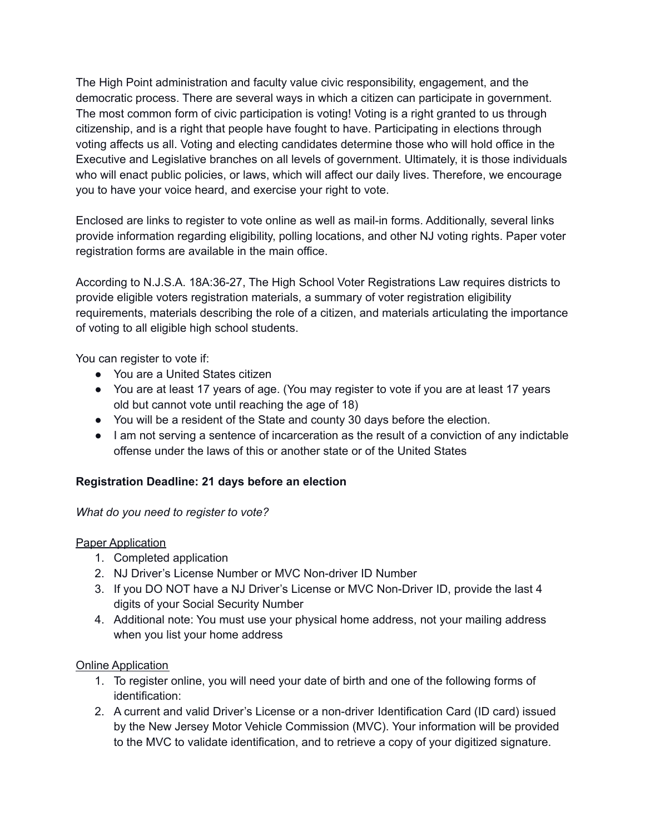The High Point administration and faculty value civic responsibility, engagement, and the democratic process. There are several ways in which a citizen can participate in government. The most common form of civic participation is voting! Voting is a right granted to us through citizenship, and is a right that people have fought to have. Participating in elections through voting affects us all. Voting and electing candidates determine those who will hold office in the Executive and Legislative branches on all levels of government. Ultimately, it is those individuals who will enact public policies, or laws, which will affect our daily lives. Therefore, we encourage you to have your voice heard, and exercise your right to vote.

Enclosed are links to register to vote online as well as mail-in forms. Additionally, several links provide information regarding eligibility, polling locations, and other NJ voting rights. Paper voter registration forms are available in the main office.

According to N.J.S.A. 18A:36-27, The High School Voter Registrations Law requires districts to provide eligible voters registration materials, a summary of voter registration eligibility requirements, materials describing the role of a citizen, and materials articulating the importance of voting to all eligible high school students.

You can register to vote if:

- You are a United States citizen
- You are at least 17 years of age. (You may register to vote if you are at least 17 years old but cannot vote until reaching the age of 18)
- You will be a resident of the State and county 30 days before the election.
- I am not serving a sentence of incarceration as the result of a conviction of any indictable offense under the laws of this or another state or of the United States

## **Registration Deadline: 21 days before an election**

## *What do you need to register to vote?*

## Paper Application

- 1. Completed application
- 2. NJ Driver's License Number or MVC Non-driver ID Number
- 3. If you DO NOT have a NJ Driver's License or MVC Non-Driver ID, provide the last 4 digits of your Social Security Number
- 4. Additional note: You must use your physical home address, not your mailing address when you list your home address

## Online Application

- 1. To register online, you will need your date of birth and one of the following forms of identification:
- 2. A current and valid Driver's License or a non-driver Identification Card (ID card) issued by the New Jersey Motor Vehicle Commission (MVC). Your information will be provided to the MVC to validate identification, and to retrieve a copy of your digitized signature.